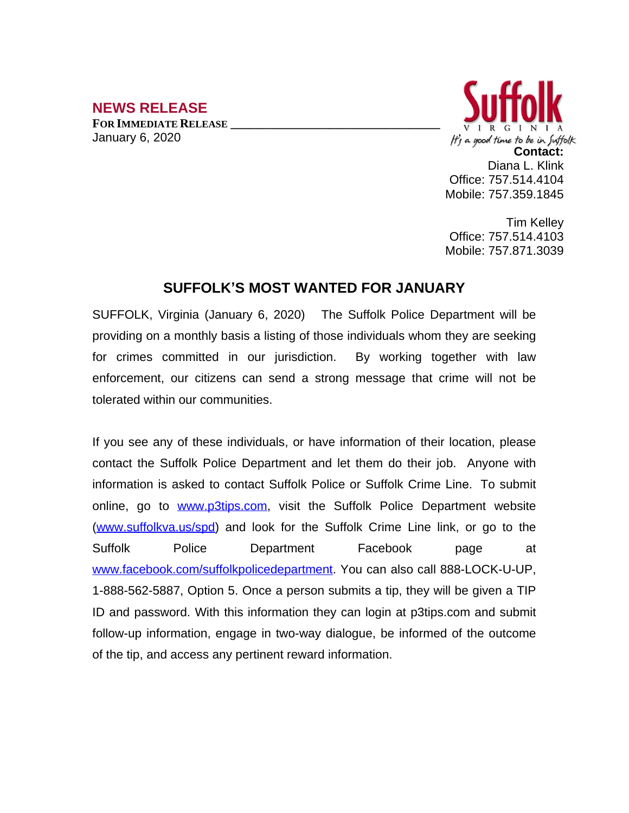## **NEWS RELEASE FOR IMMEDIATE RELEASE \_\_\_\_\_\_\_\_\_\_\_\_\_\_\_\_\_\_\_\_\_\_\_\_\_\_\_\_\_\_\_\_\_\_**

January 6, 2020



Tim Kelley Office: 757.514.4103 Mobile: 757.871.3039

## **SUFFOLK'S MOST WANTED FOR JANUARY**

SUFFOLK, Virginia (January 6, 2020) The Suffolk Police Department will be providing on a monthly basis a listing of those individuals whom they are seeking for crimes committed in our jurisdiction. By working together with law enforcement, our citizens can send a strong message that crime will not be tolerated within our communities.

If you see any of these individuals, or have information of their location, please contact the Suffolk Police Department and let them do their job. Anyone with information is asked to contact Suffolk Police or Suffolk Crime Line. To submit online, go to [www.p3tips.com](http://www.p3tips.com), visit the Suffolk Police Department website ([www.suffolkva.us/spd](http://www.suffolkva.us/spd)) and look for the Suffolk Crime Line link, or go to the Suffolk Police Department Facebook page at [www.facebook.com/suffolkpolicedepartment](http://www.facebook.com/suffolkpolicedepartment). You can also call 888-LOCK-U-UP, 1-888-562-5887, Option 5. Once a person submits a tip, they will be given a TIP ID and password. With this information they can login at p3tips.com and submit follow-up information, engage in two-way dialogue, be informed of the outcome of the tip, and access any pertinent reward information.